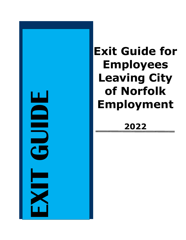

# **Exit Guide for Employees Leaving City of Norfolk Employment**

## **202 2**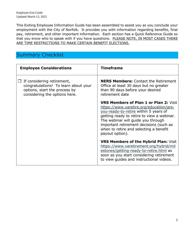This Exiting Employee Information Guide has been assembled to assist you as you conclude your employment with the City of Norfolk. It provides you with information regarding benefits, final pay, retirement, and other important information. Each section has a Quick Reference Guide so that you know who to speak with if you have questions. PLEASE NOTE, IN MOST CASES THERE ARE TIME RESTRICTIONS TO MAKE CERTAIN BENEFIT ELECTIONS.

### Summary Checklist

| <b>Employee Considerations</b>                                                                                                       | <b>Timeframe</b>                                                                                                                                                                                                                                                                                                              |
|--------------------------------------------------------------------------------------------------------------------------------------|-------------------------------------------------------------------------------------------------------------------------------------------------------------------------------------------------------------------------------------------------------------------------------------------------------------------------------|
| If considering retirement,<br>congratulations! To learn about your<br>options, start the process by<br>considering the options here. | <b>NERS Members:</b> Contact the Retirement<br>Office at least 30 days but no greater<br>than 90 days before your desired<br>retirement date                                                                                                                                                                                  |
|                                                                                                                                      | <b>VRS Members of Plan 1 or Plan 2: Visit</b><br>https://www.varetire.org/education/are-<br>you-ready-to-retire within 5 years of<br>getting ready to retire to view a webinar.<br>The webinar will guide you through<br>important retirement decisions (such as<br>when to retire and selecting a benefit<br>payout option). |
|                                                                                                                                      | <b>VRS Members of the Hybrid Plan: Visit</b><br>https://www.varetirement.org/hybrid/mil<br>estones/getting-ready-to-retire.html as<br>soon as you start considering retirement<br>to view guides and instructional videos.                                                                                                    |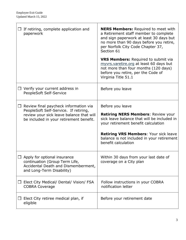| If retiring, complete application and<br>paperwork                                                                                                                           | <b>NERS Members: Required to meet with</b><br>a Retirement staff member to complete<br>and sign paperwork at least 30 days but<br>no more than 90 days before you retire,<br>per Norfolk City Code Chapter 37,<br>Section 61<br><b>VRS Members:</b> Required to submit via<br>myvrs.varetire.org at least 60 days but<br>not more than four months (120 days)<br>before you retire, per the Code of<br>Virginia Title 51.1 |
|------------------------------------------------------------------------------------------------------------------------------------------------------------------------------|----------------------------------------------------------------------------------------------------------------------------------------------------------------------------------------------------------------------------------------------------------------------------------------------------------------------------------------------------------------------------------------------------------------------------|
| $\Box$ Verify your current address in<br>PeopleSoft Self-Service                                                                                                             | Before you leave                                                                                                                                                                                                                                                                                                                                                                                                           |
| $\Box$ Review final paycheck information via<br>PeopleSoft Self-Service. If retiring,<br>review your sick leave balance that will<br>be included in your retirement benefit. | Before you leave<br><b>Retiring NERS Members: Review your</b><br>sick leave balance that will be included in<br>your retirement benefit calculation<br><b>Retiring VRS Members: Your sick leave</b><br>balance is not included in your retirement<br>benefit calculation                                                                                                                                                   |
| Apply for optional insurance<br>continuation (Group Term Life,<br>Accidental Death and Dismemberment,<br>and Long-Term Disability)                                           | Within 30 days from your last date of<br>coverage on a City plan                                                                                                                                                                                                                                                                                                                                                           |
| Elect City Medical/ Dental/ Vision/ FSA<br><b>COBRA Coverage</b>                                                                                                             | Follow instructions in your COBRA<br>notification letter                                                                                                                                                                                                                                                                                                                                                                   |
| Elect City retiree medical plan, if<br>eligible                                                                                                                              | Before your retirement date                                                                                                                                                                                                                                                                                                                                                                                                |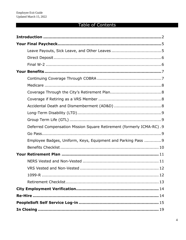## Table of Contents

| Deferred Compensation Mission Square Retirement (formerly ICMA-RC) .9 |
|-----------------------------------------------------------------------|
|                                                                       |
| Employee Badges, Uniform, Keys, Equipment and Parking Pass  9         |
|                                                                       |
|                                                                       |
|                                                                       |
|                                                                       |
|                                                                       |
|                                                                       |
|                                                                       |
|                                                                       |
|                                                                       |
|                                                                       |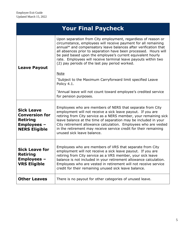| <b>Your Final Paycheck</b>                                                                                  |                                                                                                                                                                                                                                                                                                                                                                                                                                                                          |
|-------------------------------------------------------------------------------------------------------------|--------------------------------------------------------------------------------------------------------------------------------------------------------------------------------------------------------------------------------------------------------------------------------------------------------------------------------------------------------------------------------------------------------------------------------------------------------------------------|
| <b>Leave Payout</b>                                                                                         | Upon separation from City employment, regardless of reason or<br>circumstance, employees will receive payment for all remaining<br>annual* and compensatory leave balances after verification that<br>all absences prior to separation have been processed. Hours will<br>be paid based upon the employee's current equivalent hourly<br>rate. Employees will receive terminal leave payouts within two<br>(2) pay periods of the last pay period worked.<br><b>Note</b> |
|                                                                                                             | *Subject to the Maximum Carryforward limit specified Leave<br>Policy 4.1.<br>*Annual leave will not count toward employee's credited service<br>for pension purposes.                                                                                                                                                                                                                                                                                                    |
| <b>Sick Leave</b><br><b>Conversion for</b><br><b>Retiring</b><br><b>Employees -</b><br><b>NERS Eligible</b> | Employees who are members of NERS that separate from City<br>employment will not receive a sick leave payout. If you are<br>retiring from City service as a NERS member, your remaining sick<br>leave balance at the time of separation may be included in your<br>City retirement allowance calculation. Employees who are vested<br>in the retirement may receive service credit for their remaining<br>unused sick leave balance.                                     |
| <b>Sick Leave for</b><br><b>Retiring</b><br>Employees<br><b>VRS Eligible</b>                                | Employees who are members of VRS that separate from City<br>employment will not receive a sick leave payout. If you are<br>retiring from City service as a VRS member, your sick leave<br>balance is not included in your retirement allowance calculation.<br>Employees who are vested in retirement will not receive service<br>credit for their remaining unused sick leave balance.                                                                                  |
| <b>Other Leaves</b>                                                                                         | There is no payout for other categories of unused leave.                                                                                                                                                                                                                                                                                                                                                                                                                 |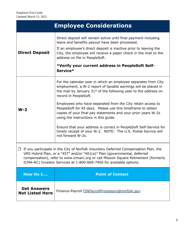| <b>Employee Considerations</b>                                                                                                                                                                                                                                                                                                         |                                                                                                                                                                                                                                                                                                                                                                                                                                                                                                                                                                                                                                      |
|----------------------------------------------------------------------------------------------------------------------------------------------------------------------------------------------------------------------------------------------------------------------------------------------------------------------------------------|--------------------------------------------------------------------------------------------------------------------------------------------------------------------------------------------------------------------------------------------------------------------------------------------------------------------------------------------------------------------------------------------------------------------------------------------------------------------------------------------------------------------------------------------------------------------------------------------------------------------------------------|
| <b>Direct Deposit</b>                                                                                                                                                                                                                                                                                                                  | Direct deposit will remain active until final payment including<br>leave and benefits payout have been processed.<br>If an employee's direct deposit is inactive prior to leaving the<br>City, the employee will receive a paper check in the mail to the<br>address on file in PeopleSoft.<br>*Verify your current address in PeopleSoft Self-<br>Service*                                                                                                                                                                                                                                                                          |
| $W-2$                                                                                                                                                                                                                                                                                                                                  | For the calendar year in which an employee separates from City<br>employment, a W-2 report of taxable earnings will be placed in<br>the mail by January $31st$ of the following year to the address on<br>record in PeopleSoft.<br>Employees who have separated from the City retain access to<br>PeopleSoft for 45 days. Please use this timeframe to obtain<br>copies of your final pay statements and your prior years W-2s<br>using the instructions in this guide.<br>Ensure that your address is correct in PeopleSoft Self-Service for<br>timely receipt of your W-2. NOTE: The U.S. Postal Service will<br>not forward W-2s. |
| If you participate in the City of Norfolk Voluntary Deferred Compensation Plan, the<br>$\Box$<br>VRS Hybrid Plan, or a "457" and/or "401(a)" Plan (governmental, deferred<br>compensation), refer to www.icmarc.org or call Mission Square Retirement (formerly<br>ICMA-RC) Investor Services at 1-800-669-7400 for available options. |                                                                                                                                                                                                                                                                                                                                                                                                                                                                                                                                                                                                                                      |
| How Do I                                                                                                                                                                                                                                                                                                                               | <b>Point of Contact</b>                                                                                                                                                                                                                                                                                                                                                                                                                                                                                                                                                                                                              |
| <b>Get Answers</b><br><b>Not Listed Here</b>                                                                                                                                                                                                                                                                                           | Finance-Payroll FINPayrollProcessors@norfolk.gov                                                                                                                                                                                                                                                                                                                                                                                                                                                                                                                                                                                     |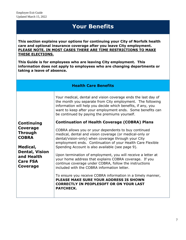## **Your Benefits**

**This section explains your options for continuing your City of Norfolk health care and optional insurance coverage after you leave City employment. PLEASE NOTE, IN MOST CASES THERE ARE TIME RESTRICTIONS TO MAKE THESE ELECTIONS.**

**This Guide is for employees who are leaving City employment. This information does not apply to employees who are changing departments or taking a leave of absence.**

| <b>Health Care Benefits</b> |
|-----------------------------|
|-----------------------------|

Your medical, dental and vision coverage ends the last day of the month you separate from City employment. The following information will help you decide which benefits, if any, you want to keep after your employment ends. Some benefits can be continued by paying the premiums yourself.

| <b>Continuing</b>                                                  | <b>Continuation of Health Coverage (COBRA) Plans</b>                                                                                                                                                                                 |
|--------------------------------------------------------------------|--------------------------------------------------------------------------------------------------------------------------------------------------------------------------------------------------------------------------------------|
| Coverage<br><b>Through</b><br><b>COBRA</b>                         | COBRA allows you or your dependents to buy continued<br>medical, dental and vision coverage (or medical-only or<br>dental/vision-only) when coverage through your City<br>employment ends. Continuation of your Health Care Flexible |
| Medical,                                                           | Spending Account is also available (see page 9).                                                                                                                                                                                     |
| <b>Dental, Vision</b><br>and Health<br><b>Care FSA</b><br>Coverage | Upon termination of employment, you will receive a letter at<br>your home address that explains COBRA coverage. If you<br>continue coverage under COBRA, follow the instructions<br>included with the COBRA information letter.      |
|                                                                    | To ensure you receive COBRA information in a timely manner,<br>PLEASE MAKE SURE YOUR ADDRESS IS SHOWN<br><b>CORRECTLY IN PEOPLESOFT OR ON YOUR LAST</b><br><b>PAYCHECK.</b>                                                          |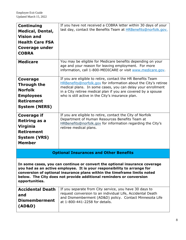| <b>Continuing</b><br><b>Medical, Dental,</b><br><b>Vision and</b><br><b>Health Care FSA</b><br>Coverage under<br><b>COBRA</b>                                                                                                                                                                                              | If you have not received a COBRA letter within 30 days of your<br>last day, contact the Benefits Team at <b>HRBenefits@norfolk.gov.</b>                                                                                                                                                                                                                                                                                                                                                                                      |
|----------------------------------------------------------------------------------------------------------------------------------------------------------------------------------------------------------------------------------------------------------------------------------------------------------------------------|------------------------------------------------------------------------------------------------------------------------------------------------------------------------------------------------------------------------------------------------------------------------------------------------------------------------------------------------------------------------------------------------------------------------------------------------------------------------------------------------------------------------------|
| <b>Medicare</b>                                                                                                                                                                                                                                                                                                            | You may be eligible for Medicare benefits depending on your<br>age and your reason for leaving employment. For more<br>information, call 1-800-MEDICARE or visit www.medicare.gov.                                                                                                                                                                                                                                                                                                                                           |
| Coverage<br>Through the<br><b>Norfolk</b><br><b>Employees</b><br><b>Retirement</b><br><b>System (NERS)</b><br><b>Coverage if</b><br><b>Retiring as a</b><br><b>Virginia</b><br><b>Retirement</b><br><b>System (VRS)</b><br><b>Member</b>                                                                                   | If you are eligible to retire, contact the HR Benefits Team<br>HRBenefits@norfolk.gov for information about the City's retiree<br>medical plans. In some cases, you can delay your enrollment<br>in a City retiree medical plan if you are covered by a spouse<br>who is still active in the City's insurance plan.<br>If you are eligible to retire, contact the City of Norfolk<br>Department of Human Resources Benefits Team at<br>HRBenefits@norfolk.gov for information regarding the City's<br>retiree medical plans. |
| <b>Optional Insurances and Other Benefits</b>                                                                                                                                                                                                                                                                              |                                                                                                                                                                                                                                                                                                                                                                                                                                                                                                                              |
| In some cases, you can continue or convert the optional insurance coverage<br>you had as an active employee. It is your responsibility to arrange for<br>conversion of optional insurance plans within the timeframe limits noted<br>below. The City does not provide additional reminders or conversion<br>opportunities. |                                                                                                                                                                                                                                                                                                                                                                                                                                                                                                                              |
| <b>Accidental Death</b><br>and<br><b>Dismemberment</b><br>(AD&D)                                                                                                                                                                                                                                                           | If you separate from City service, you have 30 days to<br>request conversion to an individual Life, Accidental Death<br>and Dismemberment (AD&D) policy. Contact Minnesota Life<br>at 1-800-441-2258 for details.                                                                                                                                                                                                                                                                                                            |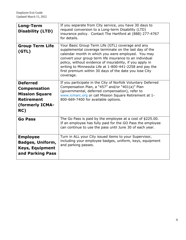| Long-Term<br><b>Disability (LTD)</b>                                                                           | If you separate from City service, you have 30 days to<br>request conversion to a Long-term Disability (LTD)<br>insurance policy. Contact The Hartford at (888) 277-4767<br>for details.                                                                                                                                                                                                                                    |
|----------------------------------------------------------------------------------------------------------------|-----------------------------------------------------------------------------------------------------------------------------------------------------------------------------------------------------------------------------------------------------------------------------------------------------------------------------------------------------------------------------------------------------------------------------|
| <b>Group Term Life</b><br>(GTL)                                                                                | Your Basic Group Term Life (GTL) coverage and any<br>supplemental coverage terminate on the last day of the<br>calendar month in which you were employed. You may<br>convert your group term life insurance to an individual<br>policy, without evidence of insurability, if you apply in<br>writing to Minnesota Life at 1-800-441-2258 and pay the<br>first premium within 30 days of the date you lose City<br>coverage. |
| <b>Deferred</b><br><b>Compensation</b><br><b>Mission Square</b><br><b>Retirement</b><br>(formerly ICMA-<br>RC) | If you participate in the City of Norfolk Voluntary Deferred<br>Compensation Plan, a "457" and/or "401(a)" Plan<br>(governmental, deferred compensation), refer to<br>www.icmarc.org or call Mission Square Retirement at 1-<br>800-669-7400 for available options.                                                                                                                                                         |
| <b>Go Pass</b>                                                                                                 | The Go Pass is paid by the employee at a cost of \$225.00.<br>If an employee has fully paid for the GO Pass the employee<br>can continue to use the pass until June 30 of each year.                                                                                                                                                                                                                                        |
| <b>Employee</b><br><b>Badges, Uniform,</b><br><b>Keys, Equipment</b><br>and Parking Pass                       | Turn in ALL your City issued items to your Supervisor,<br>including your employee badges, uniform, keys, equipment<br>and parking passes.                                                                                                                                                                                                                                                                                   |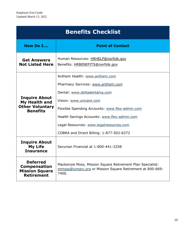| <b>Benefits Checklist</b>                                                            |                                                                                                                                                                                                                                                                                                                        |
|--------------------------------------------------------------------------------------|------------------------------------------------------------------------------------------------------------------------------------------------------------------------------------------------------------------------------------------------------------------------------------------------------------------------|
| <b>How Do I</b>                                                                      | <b>Point of Contact</b>                                                                                                                                                                                                                                                                                                |
| <b>Get Answers</b><br><b>Not Listed Here</b>                                         | Human Resources: HRHELP@norfolk.gov<br>Benefits: HRBENEFITS@norfolk.gov                                                                                                                                                                                                                                                |
| <b>Inquire About</b><br>My Health and<br><b>Other Voluntary</b><br><b>Benefits</b>   | Anthem Health: www.anthem.com<br>Pharmacy Services: www.anthem.com<br>Dental: www.deltadentalva.com<br>Vision: www.unicare.com<br>Flexible Spending Accounts: www.flex-admin.com<br>Health Savings Accounts: www.flex-admin.com<br>Legal Resources: www.legalresources.com<br>COBRA and Direct Billing: 1-877-502-6272 |
| <b>Inquire About</b><br>My Life<br><b>Insurance</b>                                  | Securian Financial at 1-800-441-2258                                                                                                                                                                                                                                                                                   |
| <b>Deferred</b><br><b>Compensation</b><br><b>Mission Square</b><br><b>Retirement</b> | Mackenzie Moss, Mission Square Retirement Plan Specialist:<br>mmoss@icmarc.org or Mission Square Retirement at 800-669-<br>7400.                                                                                                                                                                                       |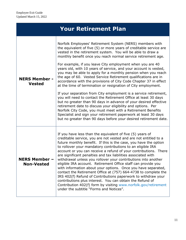| <b>Your Retirement Plan</b>             |                                                                                                                                                                                                                                                                                                                                                                                                                                                                                                                                                                                                                                                                                                                                                                                                                                                                                                                                                                                                                                                                                                                                                         |
|-----------------------------------------|---------------------------------------------------------------------------------------------------------------------------------------------------------------------------------------------------------------------------------------------------------------------------------------------------------------------------------------------------------------------------------------------------------------------------------------------------------------------------------------------------------------------------------------------------------------------------------------------------------------------------------------------------------------------------------------------------------------------------------------------------------------------------------------------------------------------------------------------------------------------------------------------------------------------------------------------------------------------------------------------------------------------------------------------------------------------------------------------------------------------------------------------------------|
| <b>NERS Member -</b><br><b>Vested</b>   | Norfolk Employees' Retirement System (NERS) members with<br>the equivalent of five (5) or more years of creditable service are<br>vested in the retirement system. You will be able to draw a<br>monthly benefit once you reach normal service retirement age.<br>For example, if you leave City employment when you are 40<br>years old, with 10 years of service, and your account is vested,<br>you may be able to apply for a monthly pension when you reach<br>the age of 60. Vested Service Retirement qualifications are in<br>accordance with the provisions of City Code Chapter 37 in effect<br>at the time of termination or resignation of City employment.<br>If your separation from City employment is a service retirement,<br>you will need to contact the Retirement Office at least 30 days<br>but no greater than 90 days in advance of your desired effective<br>retirement date to discuss your eligibility and options. Per<br>Norfolk City Code, you must meet with a Retirement Benefits<br>Specialist and sign your retirement paperwork at least 30 days<br>but no greater than 90 days before your desired retirement date. |
| <b>NERS Member</b><br><b>Non-Vested</b> | If you have less than the equivalent of five (5) years of<br>creditable service, you are not vested and are not entitled to a<br>future monthly benefit. If this is the case, you have the option<br>to rollover your mandatory contributions to an eligible IRA<br>account or you can receive a refund of your contributions. There<br>are significant penalties and tax liabilities associated with<br>withdrawal unless you rollover your contributions into another<br>eligible IRA account. Retirement Office staff can provide you<br>with information about your options. Once you have separated,<br>contact the Retirement Office at (757) 664-4738 to complete the<br>IRS 402(f) Refund of Contributions paperwork to withdraw your<br>contributions plus interest. You can obtain the Refund of<br>Contribution 402(f) form by visiting www.norfolk.gov/retirement<br>under the subtitle "Forms and Notices".                                                                                                                                                                                                                                |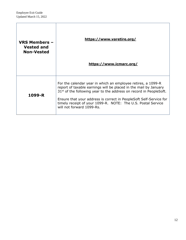r

| <b>VRS Members -</b><br><b>Vested and</b><br><b>Non-Vested</b> | https://www.varetire.org/<br>https://www.icmarc.org/                                                                                                                                                                                                                                                                                                                        |
|----------------------------------------------------------------|-----------------------------------------------------------------------------------------------------------------------------------------------------------------------------------------------------------------------------------------------------------------------------------------------------------------------------------------------------------------------------|
| 1099-R                                                         | For the calendar year in which an employee retires, a 1099-R<br>report of taxable earnings will be placed in the mail by January<br>$31st$ of the following year to the address on record in PeopleSoft.<br>Ensure that your address is correct in PeopleSoft Self-Service for<br>timely receipt of your 1099-R. NOTE: The U.S. Postal Service<br>will not forward 1099-Rs. |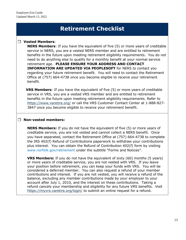## **Retirement Checklist**

#### **Vested Members**:

**NERS Members**: If you have the equivalent of five (5) or more years of creditable service in NERS, you are a vested NERS member and are entitled to retirement benefits in the future upon meeting retirement eligibility requirements. You do not need to do anything else to qualify for a monthly benefit at your normal service retirement age. **PLEASE ENSURE YOUR ADDRESS AND CONTACT INFORMATION ARE UPDATED VIA PEOPLESOFT** for NERS to contact you regarding your future retirement benefit. You will need to contact the Retirement Office at (757) 664-4738 once you become eligible to receive your retirement benefit.

**VRS Members**: If you have the equivalent of five (5) or more years of creditable service in VRS, you are a vested VRS member and are entitled to retirement benefits in the future upon meeting retirement eligibility requirements. Refer to <https://www.varetire.org/> or call the VRS Customer Contact Center at 1-888-827- 3847 once you become eligible to receive your retirement benefit.

#### **Non-vested members:**

**NERS Members:** If you do not have the equivalent of five (5) or more years of creditable service, you are not vested and cannot collect a NERS benefit. Once you have separated, contact the Retirement Office at (757) 664-4738 to complete the IRS 402(f) Refund of Contributions paperwork to withdraw your contributions plus interest. You can obtain the Refund of Contribution 402(f) form by visiting [www.norfolk.gov/retirement](http://www.norfolk.gov/retirement) under the subtitle "Forms and Notices".

**VRS Members:** If you do not have the equivalent of sixty (60) months (5 years) or more years of creditable service, you are not vested with VRS. If you leave your position before retirement, you can keep your funds with VRS. You will be considered a deferred member. You can also request a refund of your member contributions and interest. If you are not vested, you will receive a refund of the balance, excluding any member contributions made by your employer to your account after July 1, 2010, and the interest on these contributions. Taking a refund cancels your membership and eligibility for any future VRS benefits. Visit <https://myvrs.varetire.org/login/> to submit an online request for a refund.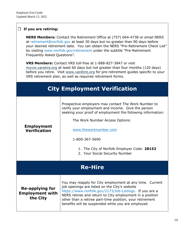#### **If you are retiring:**

**NERS Members:** Contact the Retirement Office at (757) 664-4738 or email NERS at [retirement@norfolk.gov](mailto:retirement@norfolk.gov) at least 30 days but no greater than 90 days before your desired retirement date. You can obtain the NERS "Pre-Retirement Check List" by visiting [www.norfolk.gov/retirement](http://www.norfolk.gov/retirement) under the subtitle "Pre-Retirement Frequently Asked Questions".

**VRS Members:** Contact VRS toll-free at 1-888-827-3847 or visit [myvrs.varetire.org](https://myvrs.varetire.org/) at least 60 days but not greater than four months (120 days) before you retire. Visit [www.varetire.org](http://www.varetire.org/) for pre-retirement guides specific to your VRS retirement plan, as well as required retirement forms.

|                                                              | <b>City Employment Verification</b>                                                                                                                                                                                                                                                                                                                |  |  |  |
|--------------------------------------------------------------|----------------------------------------------------------------------------------------------------------------------------------------------------------------------------------------------------------------------------------------------------------------------------------------------------------------------------------------------------|--|--|--|
| <b>Employment</b><br><b>Verification</b>                     | Prospective employers may contact The Work Number to<br>verify your employment and income. Give the person<br>seeking your proof of employment the following information:<br>The Work Number Access Options:<br>www.theworknumber.com<br>1-800-367-5690<br>1. The City of Norfolk Employer Code: 28152<br>2. Your Social Security Number           |  |  |  |
| <b>Re-Hire</b>                                               |                                                                                                                                                                                                                                                                                                                                                    |  |  |  |
| <b>Re-applying for</b><br><b>Employment with</b><br>the City | You may reapply for City employment at any time. Current<br>job openings are listed on the City's website<br>https://www.norfolk.gov/2173/Job-Listings. If you are a<br>NERS retiree and return to City employment in a position<br>other than a retiree part-time position, your retirement<br>benefits will be suspended while you are employed. |  |  |  |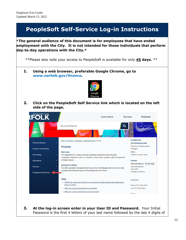## **PeopleSoft Self-Service Log-in Instructions**

**\*The general audience of this document is for employees that have ended employment with the City. It is not intended for those individuals that perform day-to-day operations with the City.\***

\*\*Please also note your access to PeopleSoft is available for only **45 days.** \*\*

**1. Using a web browser, preferable Google Chrome, go to [www.norfolk.gov/finance.](http://www.norfolk.gov/finance)**



**2. Click on the PeopleSoft Self Service link which is located on the left side of the page.**



**3. At the log-in screen enter in your User ID and Password.** Your Initial Password is the first 4 letters of your last name followed by the last 4 digits of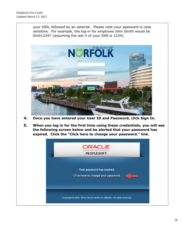your SSN, followed by an asterisk. Please note your password is case sensitive. For example, the log-in for employee John Smith would be Smit1234\* (assuming the last 4 of your SSN is 1234).



- **4. Once you have entered your User ID and Password, click Sign In.**
- **5. When you log in for the first time using these credentials, you will see the following screen below and be alerted that your password has expired. Click the "Click here to change your password." link.**

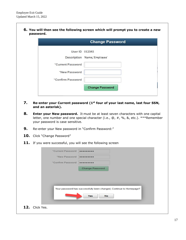**6. You will then see the following screen which will prompt you to create a new password.**

|                   | <b>Change Password</b>     |  |
|-------------------|----------------------------|--|
| User ID 012345    |                            |  |
|                   | Description Name, Employee |  |
| *Current Password |                            |  |
| *New Password     |                            |  |
| *Confirm Password |                            |  |
|                   | <b>Change Password</b>     |  |

- **7. Re-enter your Current password (1st four of your last name, last four SSN, and an asterisk).**
- **8. Enter your New password.** It must be at least seven characters with one capital letter, one number and one special character (i.e., @, #, %, &, etc.). \*\*\*Remember your password is case sensitive.
- **9.** Re-enter your New password in "Confirm Password:"
- 10. Click "Change Password"
- 11. If you were successful, you will see the following screen

| "Current Password |                                                                    |  |
|-------------------|--------------------------------------------------------------------|--|
| "New Password     |                                                                    |  |
| *Confirm Password |                                                                    |  |
|                   | <b>Change Password</b>                                             |  |
|                   |                                                                    |  |
|                   |                                                                    |  |
|                   |                                                                    |  |
|                   |                                                                    |  |
|                   |                                                                    |  |
|                   | Your password has successfully been changed, Continue to Homepage? |  |
|                   | Yes<br><b>No</b>                                                   |  |
|                   |                                                                    |  |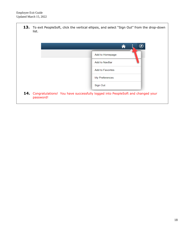13. To exit PeopleSoft, click the vertical ellipsis, and select "Sign Out" from the drop-down list.